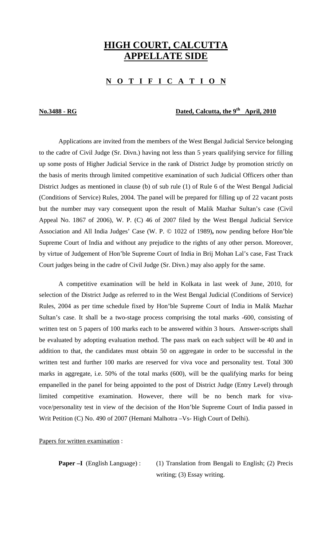## **HIGH COURT, CALCUTTA APPELLATE SIDE**

## **N O T I F I C A T I O N**

## **No.3488 - RG Dated, Calcutta, the 9<sup>th</sup> April, 2010**

 Applications are invited from the members of the West Bengal Judicial Service belonging to the cadre of Civil Judge (Sr. Divn.) having not less than 5 years qualifying service for filling up some posts of Higher Judicial Service in the rank of District Judge by promotion strictly on the basis of merits through limited competitive examination of such Judicial Officers other than District Judges as mentioned in clause (b) of sub rule (1) of Rule 6 of the West Bengal Judicial (Conditions of Service) Rules, 2004. The panel will be prepared for filling up of 22 vacant posts but the number may vary consequent upon the result of Malik Mazhar Sultan's case (Civil Appeal No. 1867 of 2006), W. P. (C) 46 of 2007 filed by the West Bengal Judicial Service Association and All India Judges' Case (W. P. © 1022 of 1989)**,** now pending before Hon'ble Supreme Court of India and without any prejudice to the rights of any other person. Moreover, by virtue of Judgement of Hon'ble Supreme Court of India in Brij Mohan Lal's case, Fast Track Court judges being in the cadre of Civil Judge (Sr. Divn.) may also apply for the same.

 A competitive examination will be held in Kolkata in last week of June, 2010, for selection of the District Judge as referred to in the West Bengal Judicial (Conditions of Service) Rules, 2004 as per time schedule fixed by Hon'ble Supreme Court of India in Malik Mazhar Sultan's case. It shall be a two-stage process comprising the total marks -600, consisting of written test on 5 papers of 100 marks each to be answered within 3 hours. Answer-scripts shall be evaluated by adopting evaluation method. The pass mark on each subject will be 40 and in addition to that, the candidates must obtain 50 on aggregate in order to be successful in the written test and further 100 marks are reserved for viva voce and personality test. Total 300 marks in aggregate, i.e. 50% of the total marks (600), will be the qualifying marks for being empanelled in the panel for being appointed to the post of District Judge (Entry Level) through limited competitive examination. However, there will be no bench mark for vivavoce/personality test in view of the decision of the Hon'ble Supreme Court of India passed in Writ Petition (C) No. 490 of 2007 (Hemani Malhotra –Vs- High Court of Delhi).

Papers for written examination :

**Paper –I** (English Language): (1) Translation from Bengali to English; (2) Precis writing; (3) Essay writing.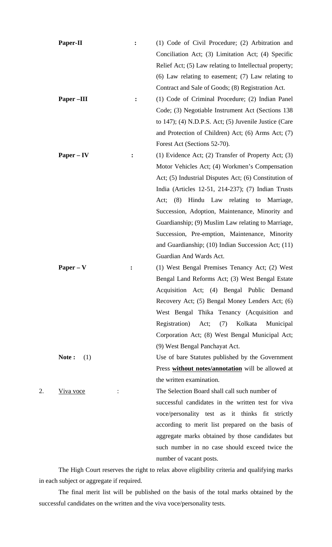|    | Paper-II         | :              | (1) Code of Civil Procedure; (2) Arbitration and         |
|----|------------------|----------------|----------------------------------------------------------|
|    |                  |                | Conciliation Act; (3) Limitation Act; (4) Specific       |
|    |                  |                | Relief Act; (5) Law relating to Intellectual property;   |
|    |                  |                | $(6)$ Law relating to easement; $(7)$ Law relating to    |
|    |                  |                | Contract and Sale of Goods; (8) Registration Act.        |
|    | Paper-III        | $\ddot{\cdot}$ | (1) Code of Criminal Procedure; (2) Indian Panel         |
|    |                  |                | Code; (3) Negotiable Instrument Act (Sections 138        |
|    |                  |                | to $147$ ); (4) N.D.P.S. Act; (5) Juvenile Justice (Care |
|    |                  |                | and Protection of Children) Act; (6) Arms Act; (7)       |
|    |                  |                | Forest Act (Sections 52-70).                             |
|    | $Paper - IV$     |                | (1) Evidence Act; (2) Transfer of Property Act; (3)      |
|    |                  |                | Motor Vehicles Act; (4) Workmen's Compensation           |
|    |                  |                | Act; (5) Industrial Disputes Act; (6) Constitution of    |
|    |                  |                | India (Articles 12-51, 214-237); (7) Indian Trusts       |
|    |                  |                | Hindu Law relating to Marriage,<br>(8)<br>Act;           |
|    |                  |                | Succession, Adoption, Maintenance, Minority and          |
|    |                  |                | Guardianship; (9) Muslim Law relating to Marriage,       |
|    |                  |                | Succession, Pre-emption, Maintenance, Minority           |
|    |                  |                | and Guardianship; (10) Indian Succession Act; (11)       |
|    |                  |                | Guardian And Wards Act.                                  |
|    | $Paper - V$      |                | (1) West Bengal Premises Tenancy Act; (2) West           |
|    |                  |                | Bengal Land Reforms Act; (3) West Bengal Estate          |
|    |                  |                | Acquisition Act; (4) Bengal Public Demand                |
|    |                  |                | Recovery Act; (5) Bengal Money Lenders Act; (6)          |
|    |                  |                | West Bengal Thika Tenancy (Acquisition and               |
|    |                  |                | (7)<br>Kolkata<br>Registration) Act;<br>Municipal        |
|    |                  |                | Corporation Act; (8) West Bengal Municipal Act;          |
|    |                  |                | (9) West Bengal Panchayat Act.                           |
|    | Note:<br>(1)     |                | Use of bare Statutes published by the Government         |
|    |                  |                | Press without notes/annotation will be allowed at        |
|    |                  |                | the written examination.                                 |
| 2. | <u>Viva voce</u> |                | The Selection Board shall call such number of            |
|    |                  |                | successful candidates in the written test for viva       |
|    |                  |                | voce/personality test as it thinks fit strictly          |
|    |                  |                | according to merit list prepared on the basis of         |
|    |                  |                | aggregate marks obtained by those candidates but         |
|    |                  |                | such number in no case should exceed twice the           |
|    |                  |                | number of vacant posts.                                  |

 The High Court reserves the right to relax above eligibility criteria and qualifying marks in each subject or aggregate if required.

 The final merit list will be published on the basis of the total marks obtained by the successful candidates on the written and the viva voce/personality tests.